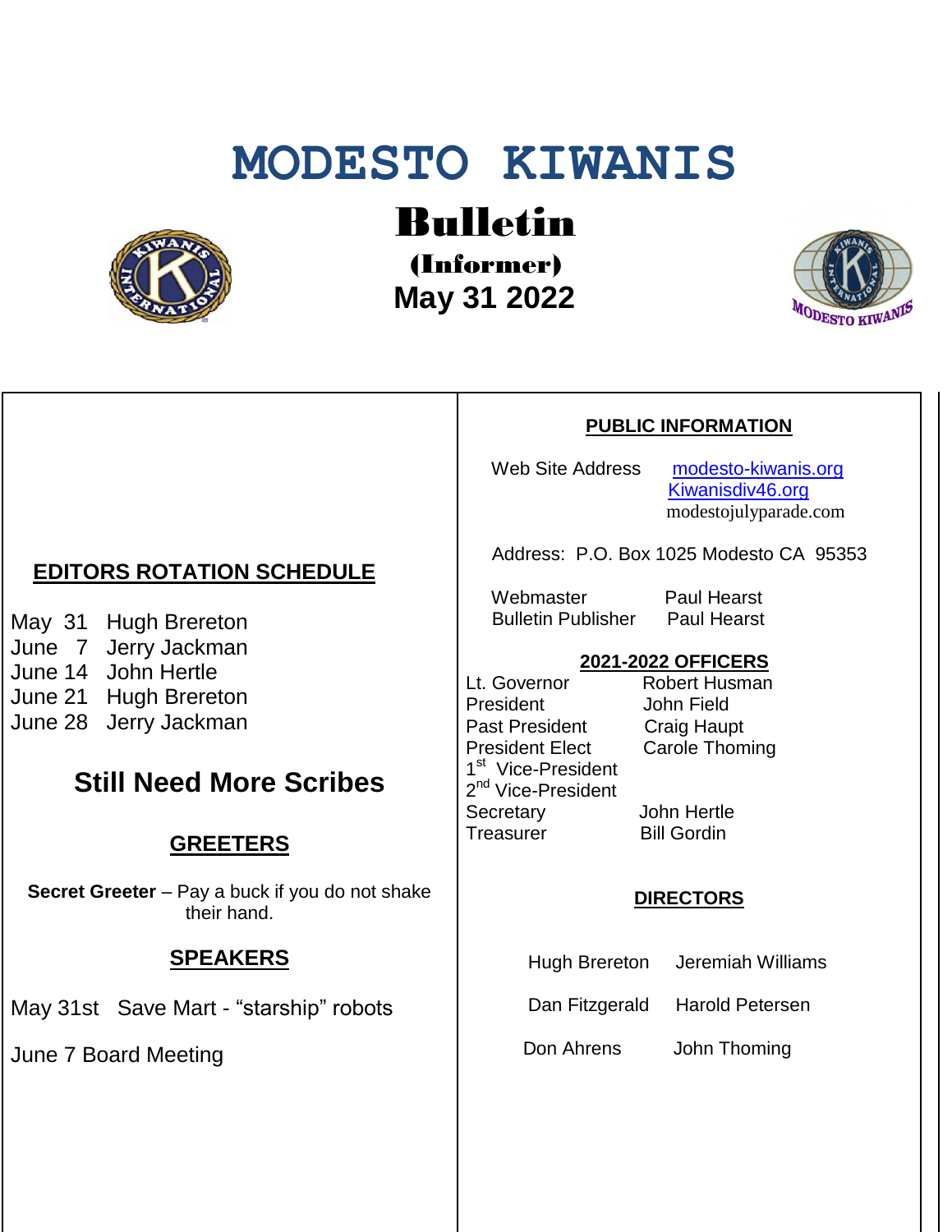# **MODESTO KIWANIS**



Bulletin

(Informer)  **May 31 2022**



#### **PUBLIC INFORMATION**

Web Site Address [modesto-kiwanis.org](http://modesto-kiwanis.org/) [Kiwanisdiv46.org](http://www.kiwanisdiv46.org/) modestojulyparade.com

Address: P.O. Box 1025 Modesto CA 95353

Webmaster Paul Hearst Bulletin Publisher Paul Hearst

#### **2021-2022 OFFICERS**

Lt. Governor Robert Husman President John Field Past President Craig Haupt President Elect Carole Thoming 1<sup>st</sup> Vice-President 2<sup>nd</sup> Vice-President Secretary John Hertle Treasurer Bill Gordin

#### **DIRECTORS**

Hugh Brereton Jeremiah Williams

Dan Fitzgerald Harold Petersen

Don Ahrens John Thoming

## **EDITORS ROTATION SCHEDULE**

May 31 Hugh Brereton June 7 Jerry Jackman June 14 John Hertle June 21 Hugh Brereton June 28 Jerry Jackman

## **Still Need More Scribes**

## **GREETERS**

**Secret Greeter** – Pay a buck if you do not shake their hand.

### **SPEAKERS**

May 31st Save Mart - "starship" robots

June 7 Board Meeting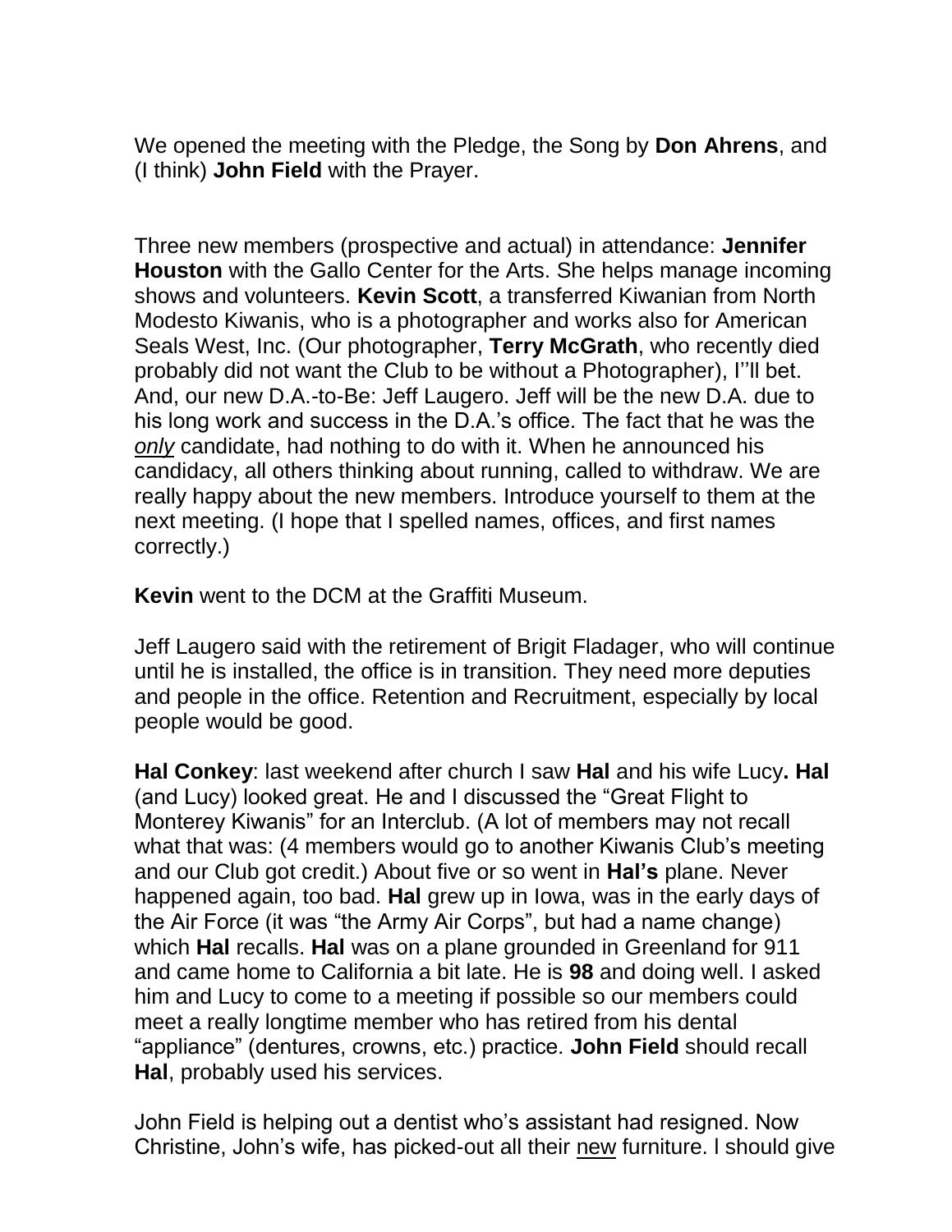We opened the meeting with the Pledge, the Song by **Don Ahrens**, and (I think) **John Field** with the Prayer.

Three new members (prospective and actual) in attendance: **Jennifer Houston** with the Gallo Center for the Arts. She helps manage incoming shows and volunteers. **Kevin Scott**, a transferred Kiwanian from North Modesto Kiwanis, who is a photographer and works also for American Seals West, Inc. (Our photographer, **Terry McGrath**, who recently died probably did not want the Club to be without a Photographer), I''ll bet. And, our new D.A.-to-Be: Jeff Laugero. Jeff will be the new D.A. due to his long work and success in the D.A.'s office. The fact that he was the *only* candidate, had nothing to do with it. When he announced his candidacy, all others thinking about running, called to withdraw. We are really happy about the new members. Introduce yourself to them at the next meeting. (I hope that I spelled names, offices, and first names correctly.)

**Kevin** went to the DCM at the Graffiti Museum.

Jeff Laugero said with the retirement of Brigit Fladager, who will continue until he is installed, the office is in transition. They need more deputies and people in the office. Retention and Recruitment, especially by local people would be good.

**Hal Conkey**: last weekend after church I saw **Hal** and his wife Lucy**. Hal** (and Lucy) looked great. He and I discussed the "Great Flight to Monterey Kiwanis" for an Interclub. (A lot of members may not recall what that was: (4 members would go to another Kiwanis Club's meeting and our Club got credit.) About five or so went in **Hal's** plane. Never happened again, too bad. **Hal** grew up in Iowa, was in the early days of the Air Force (it was "the Army Air Corps", but had a name change) which **Hal** recalls. **Hal** was on a plane grounded in Greenland for 911 and came home to California a bit late. He is **98** and doing well. I asked him and Lucy to come to a meeting if possible so our members could meet a really longtime member who has retired from his dental "appliance" (dentures, crowns, etc.) practice. **John Field** should recall **Hal**, probably used his services.

John Field is helping out a dentist who's assistant had resigned. Now Christine, John's wife, has picked-out all their new furniture. l should give